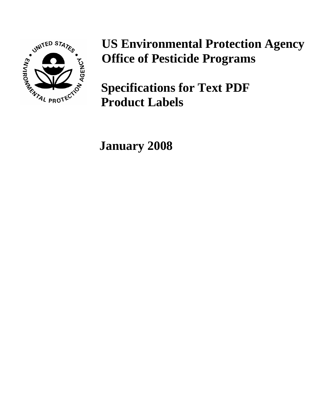

## **US Environmental Protection Agency Office of Pesticide Programs**

**Specifications for Text PDF Product Labels**

**January 2008**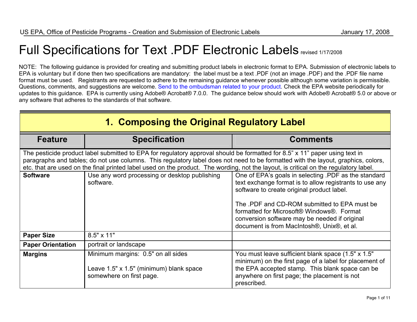## Full Specifications for Text .PDF Electronic Labels revised 1/17/2008

NOTE: The following guidance is provided for creating and submitting product labels in electronic format to EPA. Submission of electronic labels to EPA is voluntary but if done then two specifications are mandatory: the label must be a text .PDF (not an image .PDF) and the .PDF file name f[ormat](mailto:harris.thomas@epa.gov?subject=Electronic label guidance) [must](mailto:harris.thomas@epa.gov?subject=Electronic label guidance) [be](mailto:harris.thomas@epa.gov?subject=Electronic label guidance) [used](mailto:harris.thomas@epa.gov?subject=Electronic label guidance). [Re](mailto:harris.thomas@epa.gov?subject=Electronic label guidance)gistrants are requested to adhere to the remaining guidance whenever possible although some variation is permissible. Questions, comments, and suggestions are welcome. [Send to the ombudsman related to your product](https://www.epa.gov/pesticide-contacts/contacts-office-pesticide-programs-regulatory-divisions-ad-bppd-prd-rd). Check the EPA website periodically for updates to this guidance. EPA is currently using Adobe® Acrobat® 7.0.0. The guidance below should work with Adobe® Acrobat® 5.0 or above or any software that adheres to the standards of that software.

| 1. Composing the Original Regulatory Label |                                                                                                                                                                                                                                                                                                                                                                                                          |                                                                                                                                                                                                                                                                                                                                                           |  |
|--------------------------------------------|----------------------------------------------------------------------------------------------------------------------------------------------------------------------------------------------------------------------------------------------------------------------------------------------------------------------------------------------------------------------------------------------------------|-----------------------------------------------------------------------------------------------------------------------------------------------------------------------------------------------------------------------------------------------------------------------------------------------------------------------------------------------------------|--|
| <b>Feature</b>                             | <b>Specification</b>                                                                                                                                                                                                                                                                                                                                                                                     | <b>Comments</b>                                                                                                                                                                                                                                                                                                                                           |  |
|                                            | The pesticide product label submitted to EPA for regulatory approval should be formatted for 8.5" x 11" paper using text in<br>paragraphs and tables; do not use columns. This regulatory label does not need to be formatted with the layout, graphics, colors,<br>etc. that are used on the final printed label used on the product. The wording, not the layout, is critical on the regulatory label. |                                                                                                                                                                                                                                                                                                                                                           |  |
| <b>Software</b>                            | Use any word processing or desktop publishing<br>software.                                                                                                                                                                                                                                                                                                                                               | One of EPA's goals in selecting .PDF as the standard<br>text exchange format is to allow registrants to use any<br>software to create original product label.<br>The .PDF and CD-ROM submitted to EPA must be<br>formatted for Microsoft® Windows®. Format<br>conversion software may be needed if original<br>document is from MacIntosh®, Unix®, et al. |  |
| <b>Paper Size</b>                          | $8.5" \times 11"$                                                                                                                                                                                                                                                                                                                                                                                        |                                                                                                                                                                                                                                                                                                                                                           |  |
| <b>Paper Orientation</b>                   | portrait or landscape                                                                                                                                                                                                                                                                                                                                                                                    |                                                                                                                                                                                                                                                                                                                                                           |  |
| <b>Margins</b>                             | Minimum margins: 0.5" on all sides<br>Leave 1.5" x 1.5" (minimum) blank space<br>somewhere on first page.                                                                                                                                                                                                                                                                                                | You must leave sufficient blank space (1.5" x 1.5"<br>minimum) on the first page of a label for placement of<br>the EPA accepted stamp. This blank space can be<br>anywhere on first page; the placement is not<br>prescribed.                                                                                                                            |  |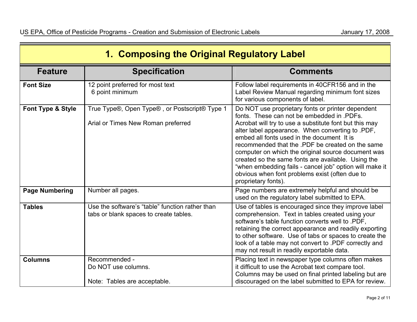| 1. Composing the Original Regulatory Label |                                                                                           |                                                                                                                                                                                                                                                                                                                                                                                                                                                                                                                                                                 |
|--------------------------------------------|-------------------------------------------------------------------------------------------|-----------------------------------------------------------------------------------------------------------------------------------------------------------------------------------------------------------------------------------------------------------------------------------------------------------------------------------------------------------------------------------------------------------------------------------------------------------------------------------------------------------------------------------------------------------------|
| <b>Feature</b>                             | <b>Specification</b>                                                                      | <b>Comments</b>                                                                                                                                                                                                                                                                                                                                                                                                                                                                                                                                                 |
| <b>Font Size</b>                           | 12 point preferred for most text<br>6 point minimum                                       | Follow label requirements in 40CFR156 and in the<br>Label Review Manual regarding minimum font sizes<br>for various components of label.                                                                                                                                                                                                                                                                                                                                                                                                                        |
| Font Type & Style                          | True Type®, Open Type®, or Postscript® Type 1<br>Arial or Times New Roman preferred       | Do NOT use proprietary fonts or printer dependent<br>fonts. These can not be embedded in .PDFs.<br>Acrobat will try to use a substitute font but this may<br>alter label appearance. When converting to .PDF,<br>embed all fonts used in the document It is<br>recommended that the .PDF be created on the same<br>computer on which the original source document was<br>created so the same fonts are available. Using the<br>"when embedding fails - cancel job" option will make it<br>obvious when font problems exist (often due to<br>proprietary fonts). |
| <b>Page Numbering</b>                      | Number all pages.                                                                         | Page numbers are extremely helpful and should be<br>used on the regulatory label submitted to EPA.                                                                                                                                                                                                                                                                                                                                                                                                                                                              |
| <b>Tables</b>                              | Use the software's "table" function rather than<br>tabs or blank spaces to create tables. | Use of tables is encouraged since they improve label<br>comprehension. Text in tables created using your<br>software's table function converts well to .PDF,<br>retaining the correct appearance and readily exporting<br>to other software. Use of tabs or spaces to create the<br>look of a table may not convert to .PDF correctly and<br>may not result in readily exportable data.                                                                                                                                                                         |
| <b>Columns</b>                             | Recommended -<br>Do NOT use columns.<br>Note: Tables are acceptable.                      | Placing text in newspaper type columns often makes<br>it difficult to use the Acrobat text compare tool.<br>Columns may be used on final printed labeling but are<br>discouraged on the label submitted to EPA for review.                                                                                                                                                                                                                                                                                                                                      |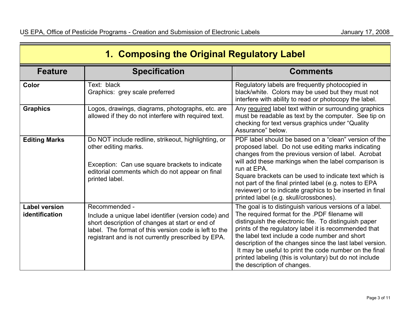| 1. Composing the Original Regulatory Label |                                                                                                                                                                                                                                         |                                                                                                                                                                                                                                                                                                                                                                                                                                                                                               |
|--------------------------------------------|-----------------------------------------------------------------------------------------------------------------------------------------------------------------------------------------------------------------------------------------|-----------------------------------------------------------------------------------------------------------------------------------------------------------------------------------------------------------------------------------------------------------------------------------------------------------------------------------------------------------------------------------------------------------------------------------------------------------------------------------------------|
| <b>Feature</b>                             | <b>Specification</b>                                                                                                                                                                                                                    | <b>Comments</b>                                                                                                                                                                                                                                                                                                                                                                                                                                                                               |
| Color                                      | Text: black<br>Graphics: grey scale preferred                                                                                                                                                                                           | Regulatory labels are frequently photocopied in<br>black/white. Colors may be used but they must not<br>interfere with ability to read or photocopy the label.                                                                                                                                                                                                                                                                                                                                |
| <b>Graphics</b>                            | Logos, drawings, diagrams, photographs, etc. are<br>allowed if they do not interfere with required text.                                                                                                                                | Any required label text within or surrounding graphics<br>must be readable as text by the computer. See tip on<br>checking for text versus graphics under "Quality<br>Assurance" below.                                                                                                                                                                                                                                                                                                       |
| <b>Editing Marks</b>                       | Do NOT include redline, strikeout, highlighting, or<br>other editing marks.<br>Exception: Can use square brackets to indicate<br>editorial comments which do not appear on final<br>printed label.                                      | PDF label should be based on a "clean" version of the<br>proposed label. Do not use editing marks indicating<br>changes from the previous version of label. Acrobat<br>will add these markings when the label comparison is<br>run at EPA.<br>Square brackets can be used to indicate text which is<br>not part of the final printed label (e.g. notes to EPA<br>reviewer) or to indicate graphics to be inserted in final<br>printed label (e.g. skull/crossbones).                          |
| <b>Label version</b><br>identification     | Recommended -<br>Include a unique label identifier (version code) and<br>short description of changes at start or end of<br>label. The format of this version code is left to the<br>registrant and is not currently prescribed by EPA. | The goal is to distinguish various versions of a label.<br>The required format for the .PDF filename will<br>distinguish the electronic file. To distinguish paper<br>prints of the regulatory label it is recommended that<br>the label text include a code number and short<br>description of the changes since the last label version.<br>It may be useful to print the code number on the final<br>printed labeling (this is voluntary) but do not include<br>the description of changes. |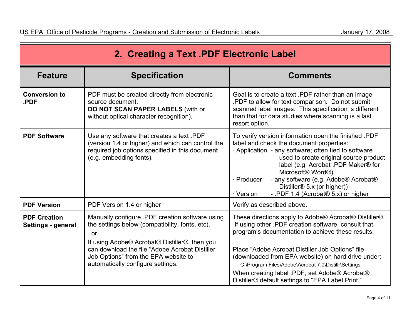| 2. Creating a Text .PDF Electronic Label  |                                                                                                                                                                                                                                                                                         |                                                                                                                                                                                                                                                                                                                                                                                                                                           |
|-------------------------------------------|-----------------------------------------------------------------------------------------------------------------------------------------------------------------------------------------------------------------------------------------------------------------------------------------|-------------------------------------------------------------------------------------------------------------------------------------------------------------------------------------------------------------------------------------------------------------------------------------------------------------------------------------------------------------------------------------------------------------------------------------------|
| <b>Feature</b>                            | <b>Specification</b>                                                                                                                                                                                                                                                                    | <b>Comments</b>                                                                                                                                                                                                                                                                                                                                                                                                                           |
| <b>Conversion to</b><br>.PDF              | PDF must be created directly from electronic<br>source document.<br>DO NOT SCAN PAPER LABELS (with or<br>without optical character recognition).                                                                                                                                        | Goal is to create a text .PDF rather than an image<br>PDF to allow for text comparison. Do not submit<br>scanned label images. This specification is different<br>than that for data studies where scanning is a last<br>resort option.                                                                                                                                                                                                   |
| <b>PDF Software</b>                       | Use any software that creates a text .PDF<br>(version 1.4 or higher) and which can control the<br>required job options specified in this document<br>(e.g. embedding fonts).                                                                                                            | To verify version information open the finished .PDF<br>label and check the document properties:<br>Application - any software; often tied to software<br>used to create original source product<br>label (e.g. Acrobat .PDF Maker® for<br>Microsoft® Word®).<br>· Producer<br>- any software (e.g. Adobe® Acrobat®<br>Distiller <sup>®</sup> 5.x (or higher))<br>· Version<br>- .PDF 1.4 (Acrobat® 5.x) or higher                        |
| <b>PDF Version</b>                        | PDF Version 1.4 or higher                                                                                                                                                                                                                                                               | Verify as described above.                                                                                                                                                                                                                                                                                                                                                                                                                |
| <b>PDF Creation</b><br>Settings - general | Manually configure .PDF creation software using<br>the settings below (compatibility, fonts, etc).<br>or<br>If using Adobe® Acrobat® Distiller® then you<br>can download the file "Adobe Acrobat Distiller<br>Job Options" from the EPA website to<br>automatically configure settings. | These directions apply to Adobe® Acrobat® Distiller®.<br>If using other .PDF creation software, consult that<br>program's documentation to achieve these results.<br>Place "Adobe Acrobat Distiller Job Options" file<br>(downloaded from EPA website) on hard drive under:<br>C:\Program Files\Adobe\Acrobat 7.0\Distillr\Settings<br>When creating label .PDF, set Adobe® Acrobat®<br>Distiller® default settings to "EPA Label Print." |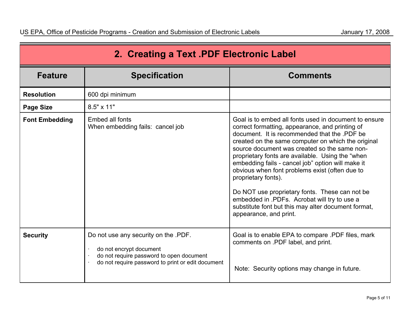| 2. Creating a Text .PDF Electronic Label |                                                                                                                                                                  |                                                                                                                                                                                                                                                                                                                                                                                                                                                                                                                                                                                                                                     |
|------------------------------------------|------------------------------------------------------------------------------------------------------------------------------------------------------------------|-------------------------------------------------------------------------------------------------------------------------------------------------------------------------------------------------------------------------------------------------------------------------------------------------------------------------------------------------------------------------------------------------------------------------------------------------------------------------------------------------------------------------------------------------------------------------------------------------------------------------------------|
| <b>Feature</b>                           | <b>Specification</b>                                                                                                                                             | <b>Comments</b>                                                                                                                                                                                                                                                                                                                                                                                                                                                                                                                                                                                                                     |
| <b>Resolution</b>                        | 600 dpi minimum                                                                                                                                                  |                                                                                                                                                                                                                                                                                                                                                                                                                                                                                                                                                                                                                                     |
| <b>Page Size</b>                         | 8.5" x 11"                                                                                                                                                       |                                                                                                                                                                                                                                                                                                                                                                                                                                                                                                                                                                                                                                     |
| <b>Font Embedding</b>                    | Embed all fonts<br>When embedding fails: cancel job                                                                                                              | Goal is to embed all fonts used in document to ensure<br>correct formatting, appearance, and printing of<br>document. It is recommended that the .PDF be<br>created on the same computer on which the original<br>source document was created so the same non-<br>proprietary fonts are available. Using the "when<br>embedding fails - cancel job" option will make it<br>obvious when font problems exist (often due to<br>proprietary fonts).<br>Do NOT use proprietary fonts. These can not be<br>embedded in .PDFs. Acrobat will try to use a<br>substitute font but this may alter document format,<br>appearance, and print. |
| <b>Security</b>                          | Do not use any security on the .PDF.<br>do not encrypt document<br>do not require password to open document<br>do not require password to print or edit document | Goal is to enable EPA to compare .PDF files, mark<br>comments on .PDF label, and print.<br>Note: Security options may change in future.                                                                                                                                                                                                                                                                                                                                                                                                                                                                                             |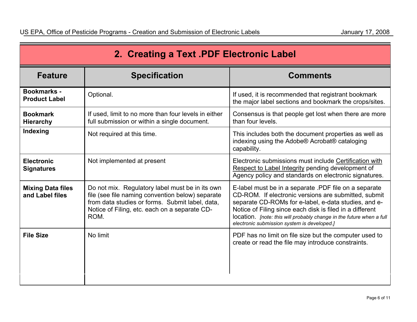| 2. Creating a Text .PDF Electronic Label    |                                                                                                                                                                                                                 |                                                                                                                                                                                                                                                                                                                                                          |
|---------------------------------------------|-----------------------------------------------------------------------------------------------------------------------------------------------------------------------------------------------------------------|----------------------------------------------------------------------------------------------------------------------------------------------------------------------------------------------------------------------------------------------------------------------------------------------------------------------------------------------------------|
| <b>Feature</b>                              | <b>Specification</b>                                                                                                                                                                                            | <b>Comments</b>                                                                                                                                                                                                                                                                                                                                          |
| <b>Bookmarks -</b><br><b>Product Label</b>  | Optional.                                                                                                                                                                                                       | If used, it is recommended that registrant bookmark<br>the major label sections and bookmark the crops/sites.                                                                                                                                                                                                                                            |
| <b>Bookmark</b><br><b>Hierarchy</b>         | If used, limit to no more than four levels in either<br>full submission or within a single document.                                                                                                            | Consensus is that people get lost when there are more<br>than four levels.                                                                                                                                                                                                                                                                               |
| Indexing                                    | Not required at this time.                                                                                                                                                                                      | This includes both the document properties as well as<br>indexing using the Adobe® Acrobat® cataloging<br>capability.                                                                                                                                                                                                                                    |
| <b>Electronic</b><br><b>Signatures</b>      | Not implemented at present                                                                                                                                                                                      | Electronic submissions must include Certification with<br>Respect to Label Integrity pending development of<br>Agency policy and standards on electronic signatures.                                                                                                                                                                                     |
| <b>Mixing Data files</b><br>and Label files | Do not mix. Regulatory label must be in its own<br>file (see file naming convention below) separate<br>from data studies or forms. Submit label, data,<br>Notice of Filing, etc. each on a separate CD-<br>ROM. | E-label must be in a separate .PDF file on a separate<br>CD-ROM. If electronic versions are submitted, submit<br>separate CD-ROMs for e-label, e-data studies, and e-<br>Notice of Filing since each disk is filed in a different<br>location. [note: this will probably change in the future when a full<br>electronic submission system is developed.] |
| <b>File Size</b>                            | No limit                                                                                                                                                                                                        | PDF has no limit on file size but the computer used to<br>create or read the file may introduce constraints.                                                                                                                                                                                                                                             |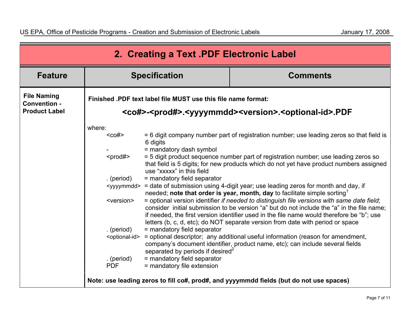| 2. Creating a Text .PDF Electronic Label                          |                                                                                                                                                                       |                                                                                                                                                                                                                                             |                                                                                                                                                                                                                                                                                                                                                                                                                                                                                                                                                                                                                                                                                                                                                                                                                                                                                                                                                                                                                                                                                                                                |
|-------------------------------------------------------------------|-----------------------------------------------------------------------------------------------------------------------------------------------------------------------|---------------------------------------------------------------------------------------------------------------------------------------------------------------------------------------------------------------------------------------------|--------------------------------------------------------------------------------------------------------------------------------------------------------------------------------------------------------------------------------------------------------------------------------------------------------------------------------------------------------------------------------------------------------------------------------------------------------------------------------------------------------------------------------------------------------------------------------------------------------------------------------------------------------------------------------------------------------------------------------------------------------------------------------------------------------------------------------------------------------------------------------------------------------------------------------------------------------------------------------------------------------------------------------------------------------------------------------------------------------------------------------|
| <b>Feature</b>                                                    |                                                                                                                                                                       | <b>Specification</b>                                                                                                                                                                                                                        | <b>Comments</b>                                                                                                                                                                                                                                                                                                                                                                                                                                                                                                                                                                                                                                                                                                                                                                                                                                                                                                                                                                                                                                                                                                                |
| <b>File Naming</b><br><b>Convention -</b><br><b>Product Label</b> | Finished .PDF text label file MUST use this file name format:<br><co#>-<prod#>.<yyyymmdd><version>.<optional-id>.PDF</optional-id></version></yyyymmdd></prod#></co#> |                                                                                                                                                                                                                                             |                                                                                                                                                                                                                                                                                                                                                                                                                                                                                                                                                                                                                                                                                                                                                                                                                                                                                                                                                                                                                                                                                                                                |
|                                                                   | where:<br>$co#>$<br>$<$ prod# $>$<br>. (period)<br><version><br/>. (period)<br/><optional-id><br/>. (period)<br/><b>PDF</b></optional-id></version>                   | 6 digits<br>= mandatory dash symbol<br>use "xxxxx" in this field<br>= mandatory field separator<br>= mandatory field separator<br>separated by periods if desired <sup>2</sup><br>= mandatory field separator<br>= mandatory file extension | = 6 digit company number part of registration number; use leading zeros so that field is<br>= 5 digit product sequence number part of registration number; use leading zeros so<br>that field is 5 digits; for new products which do not yet have product numbers assigned<br><yyyymmdd> = date of submission using 4-digit year; use leading zeros for month and day, if<br/>needed; note that order is year, month, day to facilitate simple sorting<sup>1</sup><br/>= optional version identifier if needed to distinguish file versions with same date field;<br/>consider initial submission to be version "a" but do not include the "a" in the file name;<br/>if needed, the first version identifier used in the file name would therefore be "b"; use<br/>letters (b, c, d, etc); do NOT separate version from date with period or space<br/>= optional descriptor; any additional useful information (reason for amendment,<br/>company's document identifier, product name, etc); can include several fields<br/>Note: use leading zeros to fill co#, prod#, and yyyymmdd fields (but do not use spaces)</yyyymmdd> |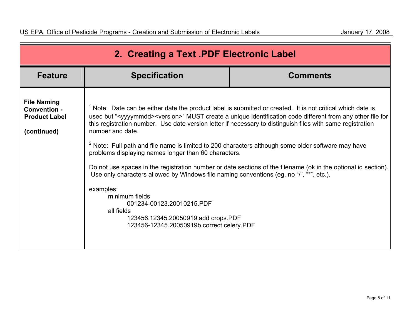| 2. Creating a Text .PDF Electronic Label                                         |                                                                                                                                                                                                                                                                                                                                                                                                                                           |                                                                                                                                                                                                                                                                                                                                                                                                                                                                                             |
|----------------------------------------------------------------------------------|-------------------------------------------------------------------------------------------------------------------------------------------------------------------------------------------------------------------------------------------------------------------------------------------------------------------------------------------------------------------------------------------------------------------------------------------|---------------------------------------------------------------------------------------------------------------------------------------------------------------------------------------------------------------------------------------------------------------------------------------------------------------------------------------------------------------------------------------------------------------------------------------------------------------------------------------------|
| <b>Feature</b>                                                                   | <b>Specification</b>                                                                                                                                                                                                                                                                                                                                                                                                                      | <b>Comments</b>                                                                                                                                                                                                                                                                                                                                                                                                                                                                             |
| <b>File Naming</b><br><b>Convention -</b><br><b>Product Label</b><br>(continued) | number and date.<br>$2$ Note: Full path and file name is limited to 200 characters although some older software may have<br>problems displaying names longer than 60 characters.<br>Use only characters allowed by Windows file naming conventions (eg. no "/", "*", etc.).<br>examples:<br>minimum fields<br>001234-00123.20010215.PDF<br>all fields<br>123456.12345.20050919.add crops.PDF<br>123456-12345.20050919b.correct celery.PDF | <sup>1</sup> Note: Date can be either date the product label is submitted or created. It is not critical which date is<br>used but " <yyyymmdd><version>" MUST create a unique identification code different from any other file for<br/>this registration number. Use date version letter if necessary to distinguish files with same registration<br/>Do not use spaces in the registration number or date sections of the filename (ok in the optional id section).</version></yyyymmdd> |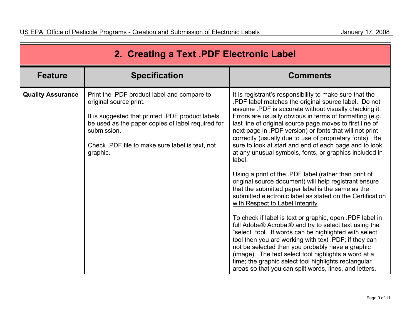| 2. Creating a Text .PDF Electronic Label |                                                                                                                                                                                                                                                              |                                                                                                                                                                                                                                                                                                                                                                                                                                                                                                                                                                                                                                                                                                                                                                                                                                                                                                                                                                                                                                                                                                                                                                                                                                                                                                   |
|------------------------------------------|--------------------------------------------------------------------------------------------------------------------------------------------------------------------------------------------------------------------------------------------------------------|---------------------------------------------------------------------------------------------------------------------------------------------------------------------------------------------------------------------------------------------------------------------------------------------------------------------------------------------------------------------------------------------------------------------------------------------------------------------------------------------------------------------------------------------------------------------------------------------------------------------------------------------------------------------------------------------------------------------------------------------------------------------------------------------------------------------------------------------------------------------------------------------------------------------------------------------------------------------------------------------------------------------------------------------------------------------------------------------------------------------------------------------------------------------------------------------------------------------------------------------------------------------------------------------------|
| <b>Feature</b>                           | <b>Specification</b>                                                                                                                                                                                                                                         | <b>Comments</b>                                                                                                                                                                                                                                                                                                                                                                                                                                                                                                                                                                                                                                                                                                                                                                                                                                                                                                                                                                                                                                                                                                                                                                                                                                                                                   |
| <b>Quality Assurance</b>                 | Print the .PDF product label and compare to<br>original source print.<br>It is suggested that printed .PDF product labels<br>be used as the paper copies of label required for<br>submission.<br>Check .PDF file to make sure label is text, not<br>graphic. | It is registrant's responsibility to make sure that the<br>.PDF label matches the original source label. Do not<br>assume .PDF is accurate without visually checking it.<br>Errors are usually obvious in terms of formatting (e.g.<br>last line of original source page moves to first line of<br>next page in .PDF version) or fonts that will not print<br>correctly (usually due to use of proprietary fonts). Be<br>sure to look at start and end of each page and to look<br>at any unusual symbols, fonts, or graphics included in<br>label.<br>Using a print of the .PDF label (rather than print of<br>original source document) will help registrant ensure<br>that the submitted paper label is the same as the<br>submitted electronic label as stated on the Certification<br>with Respect to Label Integrity.<br>To check if label is text or graphic, open .PDF label in<br>full Adobe® Acrobat® and try to select text using the<br>"select" tool. If words can be highlighted with select<br>tool then you are working with text .PDF; if they can<br>not be selected then you probably have a graphic<br>(image). The text select tool highlights a word at a<br>time; the graphic select tool highlights rectangular<br>areas so that you can split words, lines, and letters. |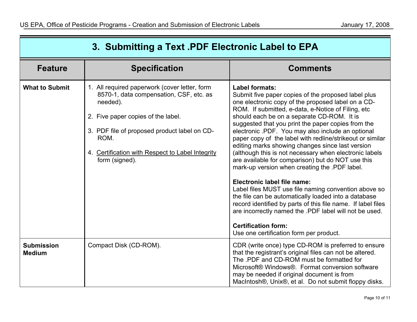| 3. Submitting a Text .PDF Electronic Label to EPA |                                                                                                                                                                                                                                                                          |                                                                                                                                                                                                                                                                                                                                                                                                                                                                                                                                                                                                                                                                                                                                                                                                                                                                                                                                                                                |
|---------------------------------------------------|--------------------------------------------------------------------------------------------------------------------------------------------------------------------------------------------------------------------------------------------------------------------------|--------------------------------------------------------------------------------------------------------------------------------------------------------------------------------------------------------------------------------------------------------------------------------------------------------------------------------------------------------------------------------------------------------------------------------------------------------------------------------------------------------------------------------------------------------------------------------------------------------------------------------------------------------------------------------------------------------------------------------------------------------------------------------------------------------------------------------------------------------------------------------------------------------------------------------------------------------------------------------|
| <b>Feature</b>                                    | <b>Specification</b>                                                                                                                                                                                                                                                     | <b>Comments</b>                                                                                                                                                                                                                                                                                                                                                                                                                                                                                                                                                                                                                                                                                                                                                                                                                                                                                                                                                                |
| <b>What to Submit</b>                             | 1. All required paperwork (cover letter, form<br>8570-1, data compensation, CSF, etc. as<br>needed).<br>2. Five paper copies of the label.<br>3. PDF file of proposed product label on CD-<br>ROM.<br>4. Certification with Respect to Label Integrity<br>form (signed). | Label formats:<br>Submit five paper copies of the proposed label plus<br>one electronic copy of the proposed label on a CD-<br>ROM. If submitted, e-data, e-Notice of Filing, etc.<br>should each be on a separate CD-ROM. It is<br>suggested that you print the paper copies from the<br>electronic .PDF. You may also include an optional<br>paper copy of the label with redline/strikeout or similar<br>editing marks showing changes since last version<br>(although this is not necessary when electronic labels<br>are available for comparison) but do NOT use this<br>mark-up version when creating the .PDF label.<br>Electronic label file name:<br>Label files MUST use file naming convention above so<br>the file can be automatically loaded into a database<br>record identified by parts of this file name. If label files<br>are incorrectly named the .PDF label will not be used.<br><b>Certification form:</b><br>Use one certification form per product. |
| <b>Submission</b><br><b>Medium</b>                | Compact Disk (CD-ROM).                                                                                                                                                                                                                                                   | CDR (write once) type CD-ROM is preferred to ensure<br>that the registrant's original files can not be altered.<br>The .PDF and CD-ROM must be formatted for<br>Microsoft® Windows®. Format conversion software<br>may be needed if original document is from<br>MacIntosh®, Unix®, et al. Do not submit floppy disks.                                                                                                                                                                                                                                                                                                                                                                                                                                                                                                                                                                                                                                                         |